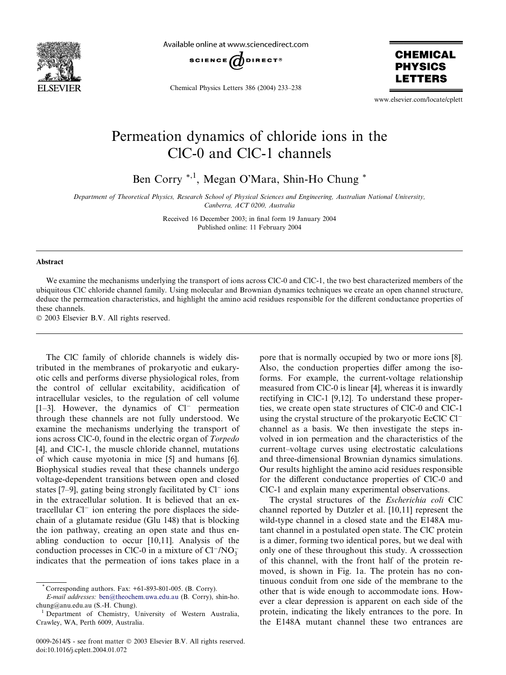

Available online at www.sciencedirect.com



Chemical Physics Letters 386 (2004) 233–238

**CHEMICAL PHYSICS** ETTERS

www.elsevier.com/locate/cplett

## Permeation dynamics of chloride ions in the ClC-0 and ClC-1 channels

Ben Corry \*,1, Megan O'Mara, Shin-Ho Chung \*

Department of Theoretical Physics, Research School of Physical Sciences and Engineering, Australian National University, Canberra, ACT 0200, Australia

> Received 16 December 2003; in final form 19 January 2004 Published online: 11 February 2004

## Abstract

We examine the mechanisms underlying the transport of ions across ClC-0 and ClC-1, the two best characterized members of the ubiquitous ClC chloride channel family. Using molecular and Brownian dynamics techniques we create an open channel structure, deduce the permeation characteristics, and highlight the amino acid residues responsible for the different conductance properties of these channels.

2003 Elsevier B.V. All rights reserved.

The ClC family of chloride channels is widely distributed in the membranes of prokaryotic and eukaryotic cells and performs diverse physiological roles, from the control of cellular excitability, acidification of intracellular vesicles, to the regulation of cell volume  $[1-3]$ . However, the dynamics of  $Cl^-$  permeation through these channels are not fully understood. We examine the mechanisms underlying the transport of ions across ClC-0, found in the electric organ of Torpedo [4], and ClC-1, the muscle chloride channel, mutations of which cause myotonia in mice [5] and humans [6]. Biophysical studies reveal that these channels undergo voltage-dependent transitions between open and closed states  $[7-9]$ , gating being strongly facilitated by  $Cl^-$  ions in the extracellular solution. It is believed that an extracellular  $Cl^-$  ion entering the pore displaces the sidechain of a glutamate residue (Glu 148) that is blocking the ion pathway, creating an open state and thus enabling conduction to occur [10,11]. Analysis of the conduction processes in ClC-0 in a mixture of  $Cl^{-}/NO_{3}^{-}$ indicates that the permeation of ions takes place in a

pore that is normally occupied by two or more ions [8]. Also, the conduction properties differ among the isoforms. For example, the current-voltage relationship measured from ClC-0 is linear [4], whereas it is inwardly rectifying in ClC-1 [9,12]. To understand these properties, we create open state structures of ClC-0 and ClC-1 using the crystal structure of the prokaryotic EcClC Cl channel as a basis. We then investigate the steps involved in ion permeation and the characteristics of the current–voltage curves using electrostatic calculations and three-dimensional Brownian dynamics simulations. Our results highlight the amino acid residues responsible for the different conductance properties of ClC-0 and ClC-1 and explain many experimental observations.

The crystal structures of the Escherichia coli ClC channel reported by Dutzler et al. [10,11] represent the wild-type channel in a closed state and the E148A mutant channel in a postulated open state. The ClC protein is a dimer, forming two identical pores, but we deal with only one of these throughout this study. A crosssection of this channel, with the front half of the protein removed, is shown in Fig. 1a. The protein has no continuous conduit from one side of the membrane to the other that is wide enough to accommodate ions. However a clear depression is apparent on each side of the protein, indicating the likely entrances to the pore. In the E148A mutant channel these two entrances are

Corresponding authors. Fax: +61-893-801-005. (B. Corry).

E-mail addresses: [ben@theochem.uwa.edu.au](mail to: ben@theochem.uwa.edu.au) (B. Corry), shin-ho. chung@anu.edu.au (S.-H. Chung).

<sup>1</sup> Department of Chemistry, University of Western Australia, Crawley, WA, Perth 6009, Australia.

<sup>0009-2614/\$ -</sup> see front matter © 2003 Elsevier B.V. All rights reserved. doi:10.1016/j.cplett.2004.01.072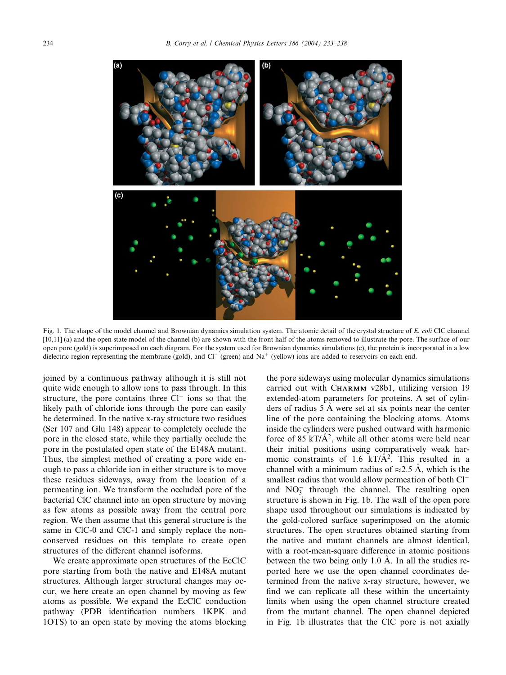

Fig. 1. The shape of the model channel and Brownian dynamics simulation system. The atomic detail of the crystal structure of E. coli ClC channel [10,11] (a) and the open state model of the channel (b) are shown with the front half of the atoms removed to illustrate the pore. The surface of our open pore (gold) is superimposed on each diagram. For the system used for Brownian dynamics simulations (c), the protein is incorporated in a low dielectric region representing the membrane (gold), and  $Cl^-$  (green) and  $Na^+$  (yellow) ions are added to reservoirs on each end.

joined by a continuous pathway although it is still not quite wide enough to allow ions to pass through. In this structure, the pore contains three  $Cl^-$  ions so that the likely path of chloride ions through the pore can easily be determined. In the native x-ray structure two residues (Ser 107 and Glu 148) appear to completely occlude the pore in the closed state, while they partially occlude the pore in the postulated open state of the E148A mutant. Thus, the simplest method of creating a pore wide enough to pass a chloride ion in either structure is to move these residues sideways, away from the location of a permeating ion. We transform the occluded pore of the bacterial ClC channel into an open structure by moving as few atoms as possible away from the central pore region. We then assume that this general structure is the same in ClC-0 and ClC-1 and simply replace the nonconserved residues on this template to create open structures of the different channel isoforms.

We create approximate open structures of the EcClC pore starting from both the native and E148A mutant structures. Although larger structural changes may occur, we here create an open channel by moving as few atoms as possible. We expand the EcClC conduction pathway (PDB identification numbers 1KPK and 1OTS) to an open state by moving the atoms blocking the pore sideways using molecular dynamics simulations carried out with CHARMM v28b1, utilizing version 19 extended-atom parameters for proteins. A set of cylinders of radius 5 A were set at six points near the center line of the pore containing the blocking atoms. Atoms inside the cylinders were pushed outward with harmonic force of 85 kT/ $\AA$ <sup>2</sup>, while all other atoms were held near their initial positions using comparatively weak harmonic constraints of 1.6 kT/ $A^2$ . This resulted in a channel with a minimum radius of  $\approx$ 2.5 Å, which is the smallest radius that would allow permeation of both Cl and  $NO<sub>3</sub><sup>-</sup>$  through the channel. The resulting open structure is shown in Fig. 1b. The wall of the open pore shape used throughout our simulations is indicated by the gold-colored surface superimposed on the atomic structures. The open structures obtained starting from the native and mutant channels are almost identical, with a root-mean-square difference in atomic positions between the two being only  $1.0 \text{ Å}$ . In all the studies reported here we use the open channel coordinates determined from the native x-ray structure, however, we find we can replicate all these within the uncertainty limits when using the open channel structure created from the mutant channel. The open channel depicted in Fig. 1b illustrates that the ClC pore is not axially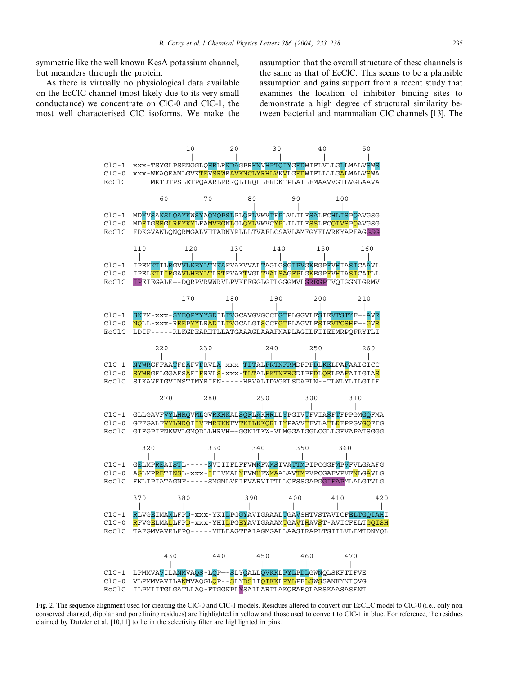symmetric like the well known KcsA potassium channel, but meanders through the protein.

As there is virtually no physiological data available on the EcClC channel (most likely due to its very small conductance) we concentrate on ClC-0 and ClC-1, the most well characterised ClC isoforms. We make the assumption that the overall structure of these channels is the same as that of EcClC. This seems to be a plausible assumption and gains support from a recent study that examines the location of inhibitor binding sites to demonstrate a high degree of structural similarity between bacterial and mammalian ClC channels [13]. The



Fig. 2. The sequence alignment used for creating the ClC-0 and ClC-1 models. Residues altered to convert our EcCLC model to ClC-0 (i.e., only non conserved charged, dipolar and pore lining residues) are highlighted in yellow and those used to convert to ClC-1 in blue. For reference, the residues claimed by Dutzler et al. [10,11] to lie in the selectivity filter are highlighted in pink.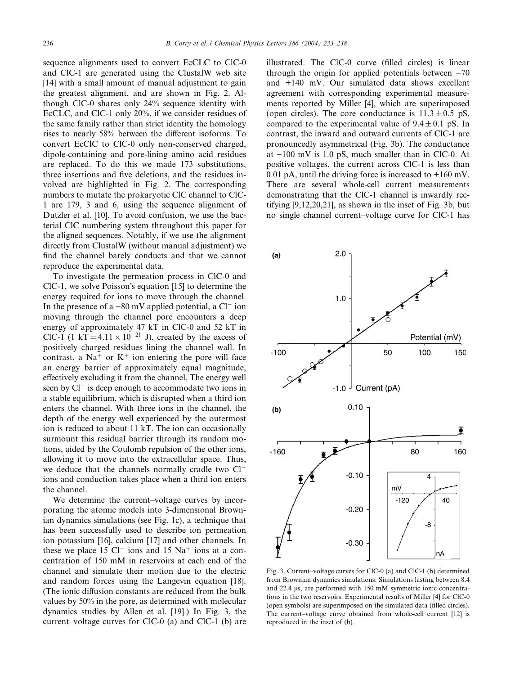sequence alignments used to convert EcCLC to ClC-0 and ClC-1 are generated using the ClustalW web site [14] with a small amount of manual adjustment to gain the greatest alignment, and are shown in Fig. 2. Although ClC-0 shares only 24% sequence identity with EcCLC, and ClC-1 only 20%, if we consider residues of the same family rather than strict identity the homology rises to nearly 58% between the different isoforms. To convert EcClC to ClC-0 only non-conserved charged, dipole-containing and pore-lining amino acid residues are replaced. To do this we made 173 substitutions, three insertions and five deletions, and the residues involved are highlighted in Fig. 2. The corresponding numbers to mutate the prokaryotic ClC channel to ClC-1 are 179, 3 and 6, using the sequence alignment of Dutzler et al. [10]. To avoid confusion, we use the bacterial ClC numbering system throughout this paper for the aligned sequences. Notably, if we use the alignment directly from ClustalW (without manual adjustment) we find the channel barely conducts and that we cannot reproduce the experimental data.

To investigate the permeation process in ClC-0 and  $ClC-1$ , we solve Poisson's equation [15] to determine the energy required for ions to move through the channel. In the presence of a  $-80$  mV applied potential, a Cl<sup>-</sup> ion moving through the channel pore encounters a deep energy of approximately 47 kT in ClC-0 and 52 kT in ClC-1 (1 kT =  $4.11 \times 10^{-21}$  J), created by the excess of positively charged residues lining the channel wall. In contrast, a Na<sup>+</sup> or K<sup>+</sup> ion entering the pore will face an energy barrier of approximately equal magnitude, effectively excluding it from the channel. The energy well seen by  $Cl^-$  is deep enough to accommodate two ions in a stable equilibrium, which is disrupted when a third ion enters the channel. With three ions in the channel, the depth of the energy well experienced by the outermost ion is reduced to about 11 kT. The ion can occasionally surmount this residual barrier through its random motions, aided by the Coulomb repulsion of the other ions, allowing it to move into the extracellular space. Thus, we deduce that the channels normally cradle two Cl ions and conduction takes place when a third ion enters the channel.

We determine the current–voltage curves by incorporating the atomic models into 3-dimensional Brownian dynamics simulations (see Fig. 1c), a technique that has been successfully used to describe ion permeation ion potassium [16], calcium [17] and other channels. In these we place 15  $Cl^-$  ions and 15  $Na^+$  ions at a concentration of 150 mM in reservoirs at each end of the channel and simulate their motion due to the electric and random forces using the Langevin equation [18]. (The ionic diffusion constants are reduced from the bulk values by 50% in the pore, as determined with molecular dynamics studies by Allen et al. [19].) In Fig. 3, the current–voltage curves for ClC-0 (a) and ClC-1 (b) are illustrated. The ClC-0 curve (filled circles) is linear through the origin for applied potentials between  $-70$ and +140 mV. Our simulated data shows excellent agreement with corresponding experimental measurements reported by Miller [4], which are superimposed (open circles). The core conductance is  $11.3 \pm 0.5$  pS, compared to the experimental value of  $9.4 \pm 0.1$  pS. In contrast, the inward and outward currents of ClC-1 are pronouncedly asymmetrical (Fig. 3b). The conductance at  $-100$  mV is 1.0 pS, much smaller than in ClC-0. At positive voltages, the current across ClC-1 is less than 0.01 pA, until the driving force is increased to +160 mV. There are several whole-cell current measurements demonstrating that the ClC-1 channel is inwardly rectifying [9,12,20,21], as shown in the inset of Fig. 3b, but no single channel current–voltage curve for ClC-1 has



Fig. 3. Current–voltage curves for ClC-0 (a) and ClC-1 (b) determined from Brownian dynamics simulations. Simulations lasting between 8.4 and 22.4  $\mu$ s, are performed with 150 mM symmetric ionic concentrations in the two reservoirs. Experimental results of Miller [4] for ClC-0 (open symbols) are superimposed on the simulated data (filled circles). The current–voltage curve obtained from whole-cell current [12] is reproduced in the inset of (b).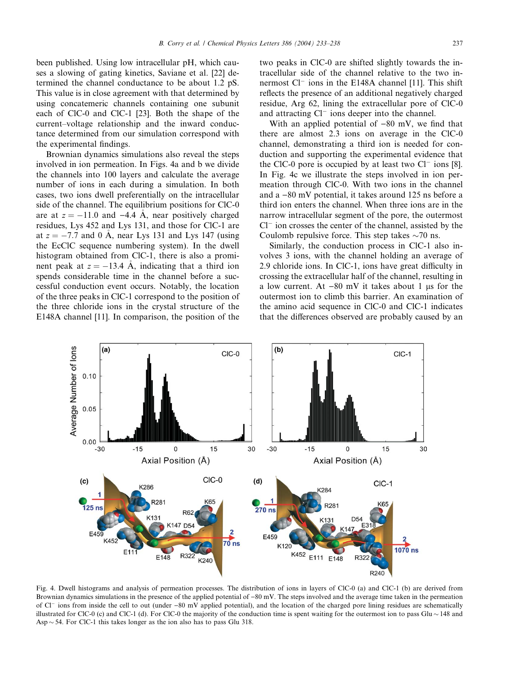been published. Using low intracellular pH, which causes a slowing of gating kinetics, Saviane et al. [22] determined the channel conductance to be about 1.2 pS. This value is in close agreement with that determined by using concatemeric channels containing one subunit each of ClC-0 and ClC-1 [23]. Both the shape of the current–voltage relationship and the inward conductance determined from our simulation correspond with the experimental findings.

Brownian dynamics simulations also reveal the steps involved in ion permeation. In Figs. 4a and b we divide the channels into 100 layers and calculate the average number of ions in each during a simulation. In both cases, two ions dwell preferentially on the intracellular side of the channel. The equilibrium positions for ClC-0 are at  $z = -11.0$  and  $-4.4$  Å, near positively charged residues, Lys 452 and Lys 131, and those for ClC-1 are at  $z = -7.7$  and 0 A, near Lys 131 and Lys 147 (using the EcClC sequence numbering system). In the dwell histogram obtained from ClC-1, there is also a prominent peak at  $z = -13.4$  A, indicating that a third ion spends considerable time in the channel before a successful conduction event occurs. Notably, the location of the three peaks in ClC-1 correspond to the position of the three chloride ions in the crystal structure of the E148A channel [11]. In comparison, the position of the

two peaks in ClC-0 are shifted slightly towards the intracellular side of the channel relative to the two innermost  $Cl^-$  ions in the E148A channel [11]. This shift reflects the presence of an additional negatively charged residue, Arg 62, lining the extracellular pore of ClC-0 and attracting  $Cl^-$  ions deeper into the channel.

With an applied potential of  $-80$  mV, we find that there are almost 2.3 ions on average in the ClC-0 channel, demonstrating a third ion is needed for conduction and supporting the experimental evidence that the ClC-0 pore is occupied by at least two  $Cl^-$  ions [8]. In Fig. 4c we illustrate the steps involved in ion permeation through ClC-0. With two ions in the channel and  $a - 80$  mV potential, it takes around 125 ns before a third ion enters the channel. When three ions are in the narrow intracellular segment of the pore, the outermost  $Cl^-$  ion crosses the center of the channel, assisted by the Coulomb repulsive force. This step takes  $\sim$ 70 ns.

Similarly, the conduction process in ClC-1 also involves 3 ions, with the channel holding an average of 2.9 chloride ions. In ClC-1, ions have great difficulty in crossing the extracellular half of the channel, resulting in a low current. At  $-80$  mV it takes about 1 µs for the outermost ion to climb this barrier. An examination of the amino acid sequence in ClC-0 and ClC-1 indicates that the differences observed are probably caused by an



Fig. 4. Dwell histograms and analysis of permeation processes. The distribution of ions in layers of ClC-0 (a) and ClC-1 (b) are derived from Brownian dynamics simulations in the presence of the applied potential of  $-80$  mV. The steps involved and the average time taken in the permeation of  $Cl^-$  ions from inside the cell to out (under  $-80$  mV applied potential), and the location of the charged pore lining residues are schematically illustrated for ClC-0 (c) and ClC-1 (d). For ClC-0 the majority of the conduction time is spent waiting for the outermost ion to pass Glu  $\sim$  148 and Asp  $\sim$  54. For ClC-1 this takes longer as the ion also has to pass Glu 318.